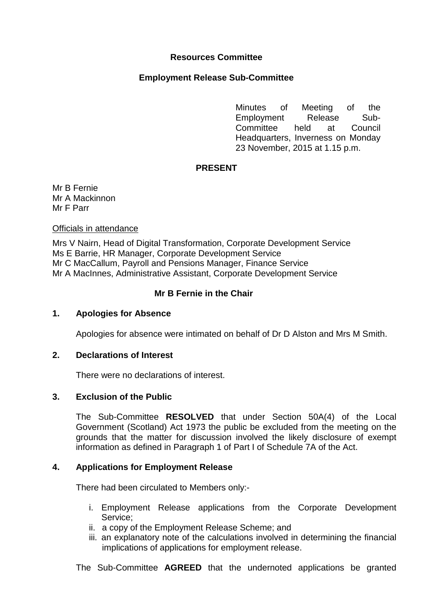# **Resources Committee**

### **Employment Release Sub-Committee**

Minutes of Meeting of the Employment Release Sub-Committee held at Council Headquarters, Inverness on Monday 23 November, 2015 at 1.15 p.m.

## **PRESENT**

Mr B Fernie Mr A Mackinnon Mr F Parr

### Officials in attendance

Mrs V Nairn, Head of Digital Transformation, Corporate Development Service Ms E Barrie, HR Manager, Corporate Development Service Mr C MacCallum, Payroll and Pensions Manager, Finance Service Mr A MacInnes, Administrative Assistant, Corporate Development Service

# **Mr B Fernie in the Chair**

### **1. Apologies for Absence**

Apologies for absence were intimated on behalf of Dr D Alston and Mrs M Smith.

## **2. Declarations of Interest**

There were no declarations of interest.

### **3. Exclusion of the Public**

The Sub-Committee **RESOLVED** that under Section 50A(4) of the Local Government (Scotland) Act 1973 the public be excluded from the meeting on the grounds that the matter for discussion involved the likely disclosure of exempt information as defined in Paragraph 1 of Part I of Schedule 7A of the Act.

### **4. Applications for Employment Release**

There had been circulated to Members only:-

- i. Employment Release applications from the Corporate Development Service;
- ii. a copy of the Employment Release Scheme; and
- iii. an explanatory note of the calculations involved in determining the financial implications of applications for employment release.

The Sub-Committee **AGREED** that the undernoted applications be granted